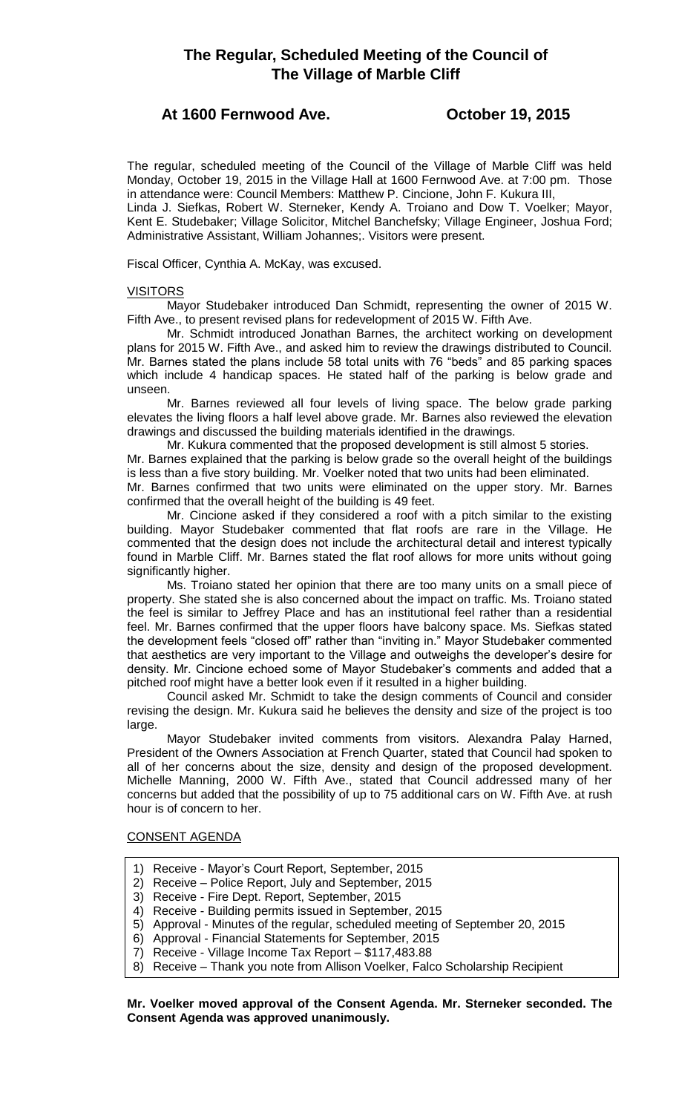# **The Regular, Scheduled Meeting of the Council of The Village of Marble Cliff**

## **At 1600 Fernwood Ave. October 19, 2015**

The regular, scheduled meeting of the Council of the Village of Marble Cliff was held Monday, October 19, 2015 in the Village Hall at 1600 Fernwood Ave. at 7:00 pm. Those in attendance were: Council Members: Matthew P. Cincione, John F. Kukura III, Linda J. Siefkas, Robert W. Sterneker, Kendy A. Troiano and Dow T. Voelker; Mayor,

Kent E. Studebaker; Village Solicitor, Mitchel Banchefsky; Village Engineer, Joshua Ford; Administrative Assistant, William Johannes;. Visitors were present.

Fiscal Officer, Cynthia A. McKay, was excused.

## VISITORS

Mayor Studebaker introduced Dan Schmidt, representing the owner of 2015 W. Fifth Ave., to present revised plans for redevelopment of 2015 W. Fifth Ave.

Mr. Schmidt introduced Jonathan Barnes, the architect working on development plans for 2015 W. Fifth Ave., and asked him to review the drawings distributed to Council. Mr. Barnes stated the plans include 58 total units with 76 "beds" and 85 parking spaces which include 4 handicap spaces. He stated half of the parking is below grade and unseen.

Mr. Barnes reviewed all four levels of living space. The below grade parking elevates the living floors a half level above grade. Mr. Barnes also reviewed the elevation drawings and discussed the building materials identified in the drawings.

Mr. Kukura commented that the proposed development is still almost 5 stories. Mr. Barnes explained that the parking is below grade so the overall height of the buildings is less than a five story building. Mr. Voelker noted that two units had been eliminated. Mr. Barnes confirmed that two units were eliminated on the upper story. Mr. Barnes confirmed that the overall height of the building is 49 feet.

Mr. Cincione asked if they considered a roof with a pitch similar to the existing building. Mayor Studebaker commented that flat roofs are rare in the Village. He commented that the design does not include the architectural detail and interest typically found in Marble Cliff. Mr. Barnes stated the flat roof allows for more units without going significantly higher.

Ms. Troiano stated her opinion that there are too many units on a small piece of property. She stated she is also concerned about the impact on traffic. Ms. Troiano stated the feel is similar to Jeffrey Place and has an institutional feel rather than a residential feel. Mr. Barnes confirmed that the upper floors have balcony space. Ms. Siefkas stated the development feels "closed off" rather than "inviting in." Mayor Studebaker commented that aesthetics are very important to the Village and outweighs the developer's desire for density. Mr. Cincione echoed some of Mayor Studebaker's comments and added that a pitched roof might have a better look even if it resulted in a higher building.

Council asked Mr. Schmidt to take the design comments of Council and consider revising the design. Mr. Kukura said he believes the density and size of the project is too large.

Mayor Studebaker invited comments from visitors. Alexandra Palay Harned, President of the Owners Association at French Quarter, stated that Council had spoken to all of her concerns about the size, density and design of the proposed development. Michelle Manning, 2000 W. Fifth Ave., stated that Council addressed many of her concerns but added that the possibility of up to 75 additional cars on W. Fifth Ave. at rush hour is of concern to her.

## CONSENT AGENDA

- 1) Receive Mayor's Court Report, September, 2015
- 2) Receive Police Report, July and September, 2015
- 3) Receive Fire Dept. Report, September, 2015
- 4) Receive Building permits issued in September, 2015
- 5) Approval Minutes of the regular, scheduled meeting of September 20, 2015
- 6) Approval Financial Statements for September, 2015
- 7) Receive Village Income Tax Report \$117,483.88

8) Receive – Thank you note from Allison Voelker, Falco Scholarship Recipient

**Mr. Voelker moved approval of the Consent Agenda. Mr. Sterneker seconded. The Consent Agenda was approved unanimously.**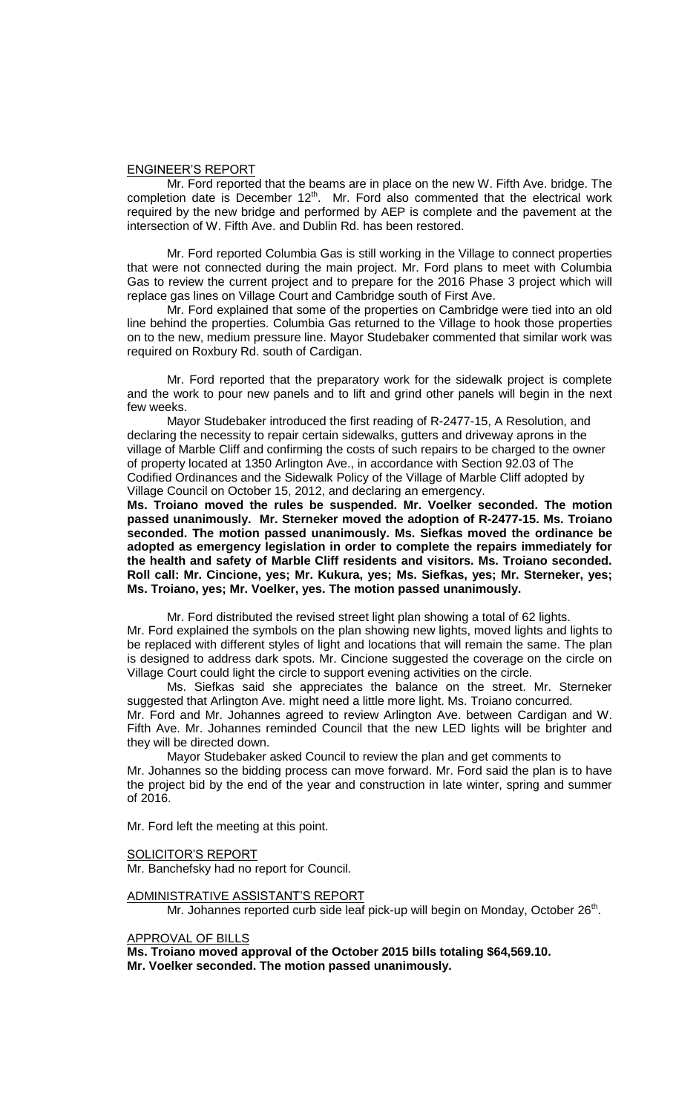### ENGINEER'S REPORT

Mr. Ford reported that the beams are in place on the new W. Fifth Ave. bridge. The completion date is December  $12<sup>th</sup>$ . Mr. Ford also commented that the electrical work required by the new bridge and performed by AEP is complete and the pavement at the intersection of W. Fifth Ave. and Dublin Rd. has been restored.

Mr. Ford reported Columbia Gas is still working in the Village to connect properties that were not connected during the main project. Mr. Ford plans to meet with Columbia Gas to review the current project and to prepare for the 2016 Phase 3 project which will replace gas lines on Village Court and Cambridge south of First Ave.

Mr. Ford explained that some of the properties on Cambridge were tied into an old line behind the properties. Columbia Gas returned to the Village to hook those properties on to the new, medium pressure line. Mayor Studebaker commented that similar work was required on Roxbury Rd. south of Cardigan.

Mr. Ford reported that the preparatory work for the sidewalk project is complete and the work to pour new panels and to lift and grind other panels will begin in the next few weeks.

Mayor Studebaker introduced the first reading of R-2477-15, A Resolution, and declaring the necessity to repair certain sidewalks, gutters and driveway aprons in the village of Marble Cliff and confirming the costs of such repairs to be charged to the owner of property located at 1350 Arlington Ave., in accordance with Section 92.03 of The Codified Ordinances and the Sidewalk Policy of the Village of Marble Cliff adopted by Village Council on October 15, 2012, and declaring an emergency.

**Ms. Troiano moved the rules be suspended. Mr. Voelker seconded. The motion passed unanimously. Mr. Sterneker moved the adoption of R-2477-15. Ms. Troiano seconded. The motion passed unanimously. Ms. Siefkas moved the ordinance be adopted as emergency legislation in order to complete the repairs immediately for the health and safety of Marble Cliff residents and visitors. Ms. Troiano seconded. Roll call: Mr. Cincione, yes; Mr. Kukura, yes; Ms. Siefkas, yes; Mr. Sterneker, yes; Ms. Troiano, yes; Mr. Voelker, yes. The motion passed unanimously.**

Mr. Ford distributed the revised street light plan showing a total of 62 lights. Mr. Ford explained the symbols on the plan showing new lights, moved lights and lights to be replaced with different styles of light and locations that will remain the same. The plan is designed to address dark spots. Mr. Cincione suggested the coverage on the circle on Village Court could light the circle to support evening activities on the circle.

Ms. Siefkas said she appreciates the balance on the street. Mr. Sterneker suggested that Arlington Ave. might need a little more light. Ms. Troiano concurred. Mr. Ford and Mr. Johannes agreed to review Arlington Ave. between Cardigan and W. Fifth Ave. Mr. Johannes reminded Council that the new LED lights will be brighter and they will be directed down.

Mayor Studebaker asked Council to review the plan and get comments to Mr. Johannes so the bidding process can move forward. Mr. Ford said the plan is to have the project bid by the end of the year and construction in late winter, spring and summer of 2016.

Mr. Ford left the meeting at this point.

SOLICITOR'S REPORT

Mr. Banchefsky had no report for Council.

ADMINISTRATIVE ASSISTANT'S REPORT

Mr. Johannes reported curb side leaf pick-up will begin on Monday, October 26<sup>th</sup>.

APPROVAL OF BILLS

**Ms. Troiano moved approval of the October 2015 bills totaling \$64,569.10. Mr. Voelker seconded. The motion passed unanimously.**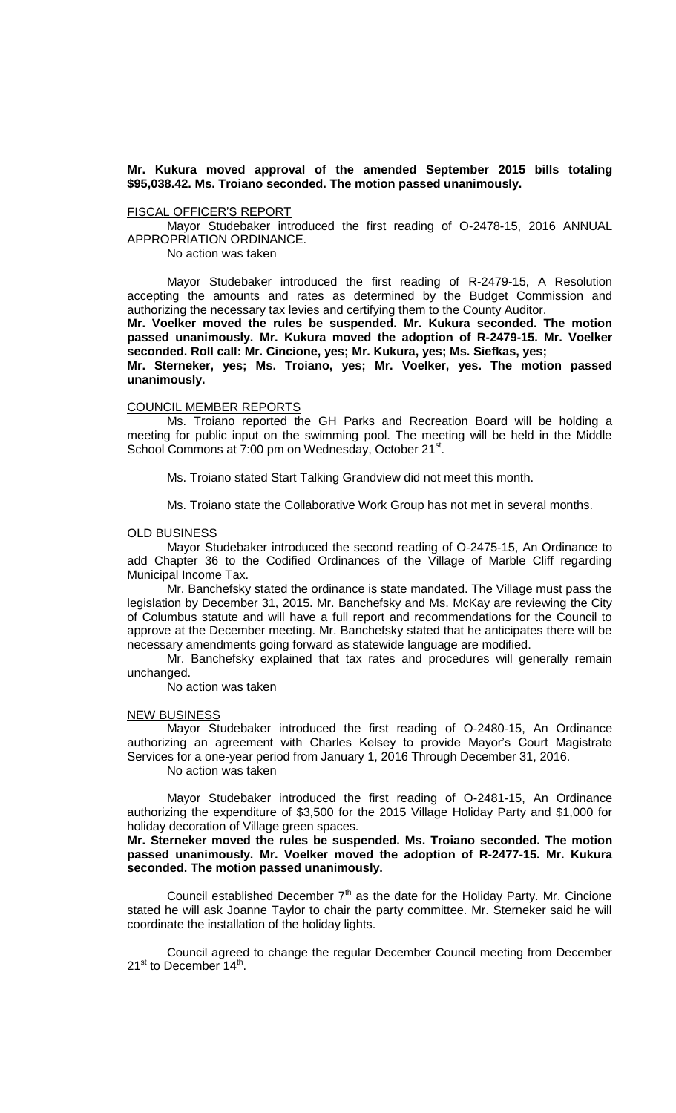## **Mr. Kukura moved approval of the amended September 2015 bills totaling \$95,038.42. Ms. Troiano seconded. The motion passed unanimously.**

### FISCAL OFFICER'S REPORT

Mayor Studebaker introduced the first reading of O-2478-15, 2016 ANNUAL APPROPRIATION ORDINANCE.

No action was taken

Mayor Studebaker introduced the first reading of R-2479-15, A Resolution accepting the amounts and rates as determined by the Budget Commission and authorizing the necessary tax levies and certifying them to the County Auditor.

**Mr. Voelker moved the rules be suspended. Mr. Kukura seconded. The motion passed unanimously. Mr. Kukura moved the adoption of R-2479-15. Mr. Voelker seconded. Roll call: Mr. Cincione, yes; Mr. Kukura, yes; Ms. Siefkas, yes;** 

**Mr. Sterneker, yes; Ms. Troiano, yes; Mr. Voelker, yes. The motion passed unanimously.**

#### COUNCIL MEMBER REPORTS

Ms. Troiano reported the GH Parks and Recreation Board will be holding a meeting for public input on the swimming pool. The meeting will be held in the Middle School Commons at 7:00 pm on Wednesday, October 21<sup>st</sup>.

Ms. Troiano stated Start Talking Grandview did not meet this month.

Ms. Troiano state the Collaborative Work Group has not met in several months.

#### OLD BUSINESS

Mayor Studebaker introduced the second reading of O-2475-15, An Ordinance to add Chapter 36 to the Codified Ordinances of the Village of Marble Cliff regarding Municipal Income Tax.

Mr. Banchefsky stated the ordinance is state mandated. The Village must pass the legislation by December 31, 2015. Mr. Banchefsky and Ms. McKay are reviewing the City of Columbus statute and will have a full report and recommendations for the Council to approve at the December meeting. Mr. Banchefsky stated that he anticipates there will be necessary amendments going forward as statewide language are modified.

Mr. Banchefsky explained that tax rates and procedures will generally remain unchanged.

No action was taken

#### NEW BUSINESS

Mayor Studebaker introduced the first reading of O-2480-15, An Ordinance authorizing an agreement with Charles Kelsey to provide Mayor's Court Magistrate Services for a one-year period from January 1, 2016 Through December 31, 2016. No action was taken

Mayor Studebaker introduced the first reading of O-2481-15, An Ordinance authorizing the expenditure of \$3,500 for the 2015 Village Holiday Party and \$1,000 for holiday decoration of Village green spaces.

**Mr. Sterneker moved the rules be suspended. Ms. Troiano seconded. The motion passed unanimously. Mr. Voelker moved the adoption of R-2477-15. Mr. Kukura seconded. The motion passed unanimously.**

Council established December  $7<sup>th</sup>$  as the date for the Holiday Party. Mr. Cincione stated he will ask Joanne Taylor to chair the party committee. Mr. Sterneker said he will coordinate the installation of the holiday lights.

Council agreed to change the regular December Council meeting from December 21<sup>st</sup> to December 14<sup>th</sup>.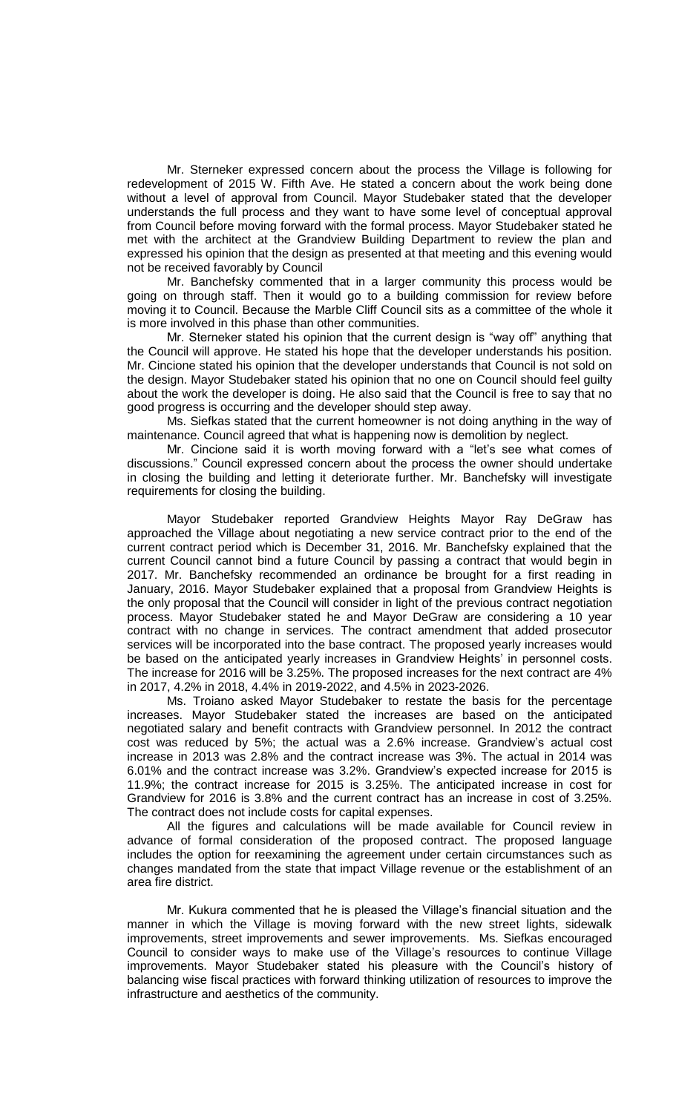Mr. Sterneker expressed concern about the process the Village is following for redevelopment of 2015 W. Fifth Ave. He stated a concern about the work being done without a level of approval from Council. Mayor Studebaker stated that the developer understands the full process and they want to have some level of conceptual approval from Council before moving forward with the formal process. Mayor Studebaker stated he met with the architect at the Grandview Building Department to review the plan and expressed his opinion that the design as presented at that meeting and this evening would not be received favorably by Council

Mr. Banchefsky commented that in a larger community this process would be going on through staff. Then it would go to a building commission for review before moving it to Council. Because the Marble Cliff Council sits as a committee of the whole it is more involved in this phase than other communities.

Mr. Sterneker stated his opinion that the current design is "way off" anything that the Council will approve. He stated his hope that the developer understands his position. Mr. Cincione stated his opinion that the developer understands that Council is not sold on the design. Mayor Studebaker stated his opinion that no one on Council should feel guilty about the work the developer is doing. He also said that the Council is free to say that no good progress is occurring and the developer should step away.

Ms. Siefkas stated that the current homeowner is not doing anything in the way of maintenance. Council agreed that what is happening now is demolition by neglect.

Mr. Cincione said it is worth moving forward with a "let's see what comes of discussions." Council expressed concern about the process the owner should undertake in closing the building and letting it deteriorate further. Mr. Banchefsky will investigate requirements for closing the building.

Mayor Studebaker reported Grandview Heights Mayor Ray DeGraw has approached the Village about negotiating a new service contract prior to the end of the current contract period which is December 31, 2016. Mr. Banchefsky explained that the current Council cannot bind a future Council by passing a contract that would begin in 2017. Mr. Banchefsky recommended an ordinance be brought for a first reading in January, 2016. Mayor Studebaker explained that a proposal from Grandview Heights is the only proposal that the Council will consider in light of the previous contract negotiation process. Mayor Studebaker stated he and Mayor DeGraw are considering a 10 year contract with no change in services. The contract amendment that added prosecutor services will be incorporated into the base contract. The proposed yearly increases would be based on the anticipated yearly increases in Grandview Heights' in personnel costs. The increase for 2016 will be 3.25%. The proposed increases for the next contract are 4% in 2017, 4.2% in 2018, 4.4% in 2019-2022, and 4.5% in 2023-2026.

Ms. Troiano asked Mayor Studebaker to restate the basis for the percentage increases. Mayor Studebaker stated the increases are based on the anticipated negotiated salary and benefit contracts with Grandview personnel. In 2012 the contract cost was reduced by 5%; the actual was a 2.6% increase. Grandview's actual cost increase in 2013 was 2.8% and the contract increase was 3%. The actual in 2014 was 6.01% and the contract increase was 3.2%. Grandview's expected increase for 2015 is 11.9%; the contract increase for 2015 is 3.25%. The anticipated increase in cost for Grandview for 2016 is 3.8% and the current contract has an increase in cost of 3.25%. The contract does not include costs for capital expenses.

All the figures and calculations will be made available for Council review in advance of formal consideration of the proposed contract. The proposed language includes the option for reexamining the agreement under certain circumstances such as changes mandated from the state that impact Village revenue or the establishment of an area fire district.

Mr. Kukura commented that he is pleased the Village's financial situation and the manner in which the Village is moving forward with the new street lights, sidewalk improvements, street improvements and sewer improvements. Ms. Siefkas encouraged Council to consider ways to make use of the Village's resources to continue Village improvements. Mayor Studebaker stated his pleasure with the Council's history of balancing wise fiscal practices with forward thinking utilization of resources to improve the infrastructure and aesthetics of the community.